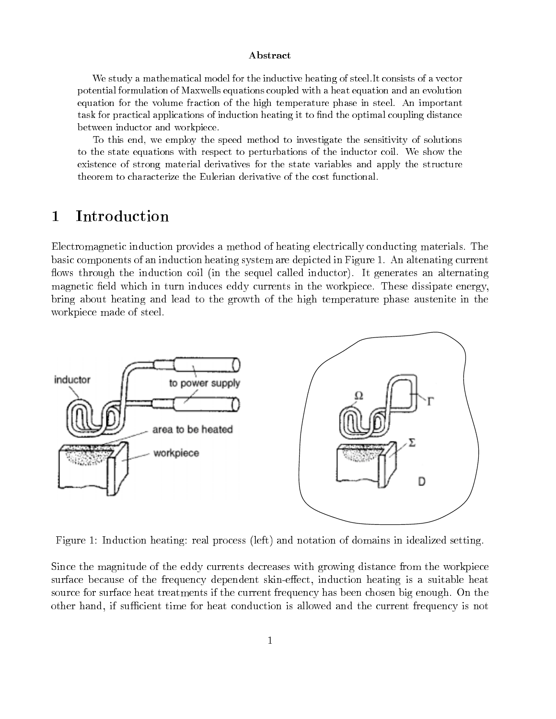### Abstract

We study a mathematical model for the inductive heating of steel.It consists of a vector potential formulation of Maxwells equations coupled with a heat equation and an evolution equation for the volume fraction of the high temperature phase in steel. An important task for practical applications of induction heating it to find the optimal coupling distance between inductor and workpiece.

To this end, we employ the speed method to investigate the sensitivity of solutions to the state equations with respect to perturbations of the inductor coil. We show the existence of strong material derivatives for the state variables and apply the structure theorem to characterize the Eulerian derivative of the cost functional.

#### 1Introduction

Electromagnetic induction provides a method of heating electrically conducting materials. The basic components of an induction heating system are depicted in Figure 1. An altenating current flows through the induction coil (in the sequel called inductor). It generates an alternating magnetic field which in turn induces eddy currents in the workpiece. These dissipate energy, bring about heating and lead to the growth of the high temperature phase austenite in the workpiece made of steel.



Figure 1: Induction heating: real process (left) and notation of domains in idealized setting.

Since the magnitude of the eddy currents decreases with growing distance from the workpiece surface because of the frequency dependent skin-effect, induction heating is a suitable heat source for surface heat treatments if the current frequency has been chosen big enough. On the other hand, if sufficient time for heat conduction is allowed and the current frequency is not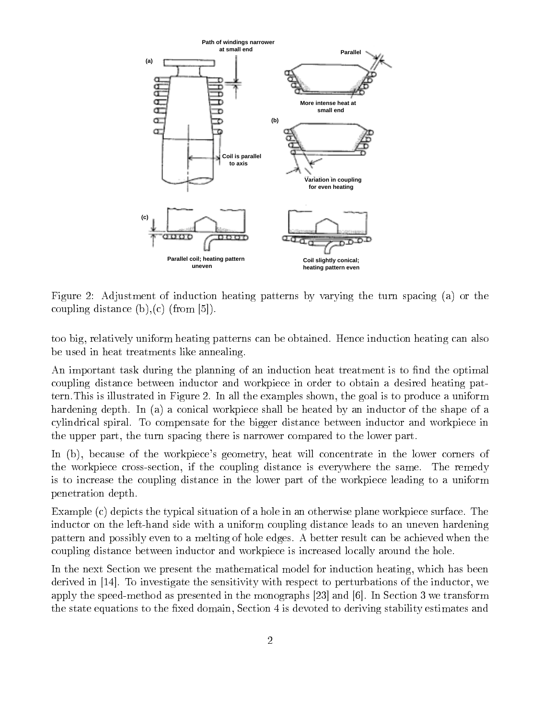

Figure 2: Adjustment of induction heating patterns by varying the turn spacing (a) or the coupling distance  $(b),(c)$  (from [5]).

too big, relatively uniform heating patterns can be obtained. Hence induction heating can also be used in heat treatments like annealing.

An important task during the planning of an induction heat treatment is to find the optimal coupling distance between inductor and workpiece in order to obtain a desired heating pattern.This is illustrated in Figure 2. In all the examples shown, the goal is to produce a uniform hardening depth. In (a) a conical workpiece shall be heated by an inductor of the shape of a cylindrical spiral. To compensate for the bigger distance between inductor and workpiece in the upper part, the turn spacing there is narrower compared to the lower part.

In (b), because of the workpiece's geometry, heat will concentrate in the lower corners of the workpiece cross-section, if the coupling distance is everywhere the same. The remedy is to increase the coupling distance in the lower part of the workpiece leading to a uniform penetration depth.

Example (c) depicts the typical situation of a hole in an otherwise plane workpiece surface. The inductor on the left-hand side with a uniform coupling distance leads to an uneven hardening pattern and possibly even to a melting of hole edges. A better result can be achieved when the coupling distance between inductor and workpiece is increased locally around the hole.

In the next Section we present the mathematical model for induction heating, which has been derived in [14]. To investigate the sensitivity with respect to perturbations of the inductor, we apply the speed-method as presented in the monographs [23] and [6]. In Section 3 we transform the state equations to the fixed domain, Section 4 is devoted to deriving stability estimates and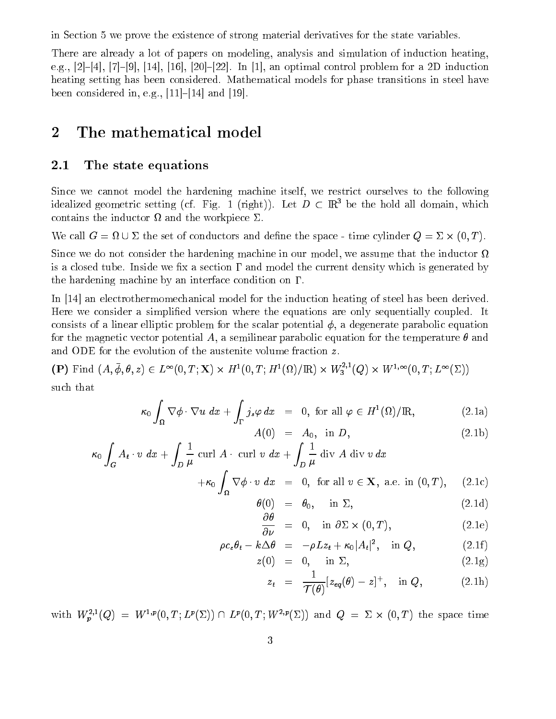in Section 5 we prove the existence of strong material derivatives for the state variables.

There are already a lot of papers on modeling, analysis and simulation of induction heating, e.g.,  $[2]-[4], [7]-[9], [14], [16], [20]-[22].$  In [1], an optimal control problem for a 2D induction heating setting has been considered. Mathematical models for phase transitions in steel have been considered in, e.g.,  $|11|$ - $|14|$  and  $|19|$ .

### 2The mathematical model

# 2.1 The state equations

Since we cannot model the hardening machine itself, we restrict ourselves to the following idealized geometric setting (cf. Fig. 1 (right)). Let  $D \subset \mathbb{R}^3$  be the hold all domain, which contains the industrial the work the workpiece  $-$ 

 $\mathcal{L}$  is call  $G$  = the set of conductors and denie the space - time cylinder  $\mathcal{L}$ ,  $\mathcal{L}$  ,  $\mathcal{L}$ 

Since we do not consider the hardening machine in our model, we assume that the inductor  $\Omega$ is a closed tube. Inside we fix a section  $\Gamma$  and model the current density which is generated by the hardening machine by an interface condition on  $\Gamma$ .

In [14] an electrothermomechanical model for the induction heating of steel has been derived. Here we consider a simplied version where the equations are only sequentially coupled. It consists of a linear elliptic problem for the scalar potential  $\phi$ , a degenerate parabolic equation for the magnetic vector potential A, a semilinear parabolic equation for the temperature  $\theta$  and and ODE for the evolution of the austenite volume fraction z.

 $(\mathbf{P})$  Find  $(A, \phi, \theta, z) \in L^{\infty}(0, T; \mathbf{X}) \times H^1(0, T; H^1(\Omega)/\mathbb{R}) \times W_3^{-1}(Q) \times W^{1,\infty}(0, T; L^{\infty}(\Sigma))$ such that

$$
\kappa_0 \int_{\Omega} \nabla \phi \cdot \nabla u \, dx + \int_{\Gamma} j_s \varphi \, dx = 0, \text{ for all } \varphi \in H^1(\Omega)/\mathbb{R}, \tag{2.1a}
$$

$$
A(0) = A_0, \text{ in } D,
$$
\n
$$
(2.1b)
$$

$$
\kappa_0 \int_G A_t \cdot v \, dx + \int_D \frac{1}{\mu} \operatorname{curl} A \cdot \operatorname{curl} v \, dx + \int_D \frac{1}{\mu} \operatorname{div} A \operatorname{div} v \, dx + \kappa_0 \int_{\Omega} \nabla \phi \cdot v \, dx = 0, \text{ for all } v \in \mathbf{X}, \text{ a.e. in } (0, T), \quad (2.1c)
$$

$$
\theta(0) = \theta_0, \quad \text{in } \Sigma,
$$
\n(2.1d)

$$
\frac{\partial \theta}{\partial \nu} = 0, \quad \text{in } \partial \Sigma \times (0, T), \tag{2.1e}
$$

$$
\rho c_{\epsilon} \theta_t - k \Delta \theta = -\rho L z_t + \kappa_0 |A_t|^2, \text{ in } Q, \qquad (2.1f)
$$

$$
z(0) = 0, \quad \text{in } \Sigma, \tag{2.1g}
$$

$$
z_t = \frac{1}{\mathcal{T}(\theta)}[z_{eq}(\theta)-z]^+, \text{ in } Q, \qquad (2.1h)
$$

with  $W_p^{-1}(\mathcal{Q}) = W^{-1}([0,1];L^p(\mathcal{Z})) \cap L^p(0,1;W^{-1}(\mathcal{Z}))$  and  $\mathcal{Q} = \mathcal{Z} \times (0,1)$  the space time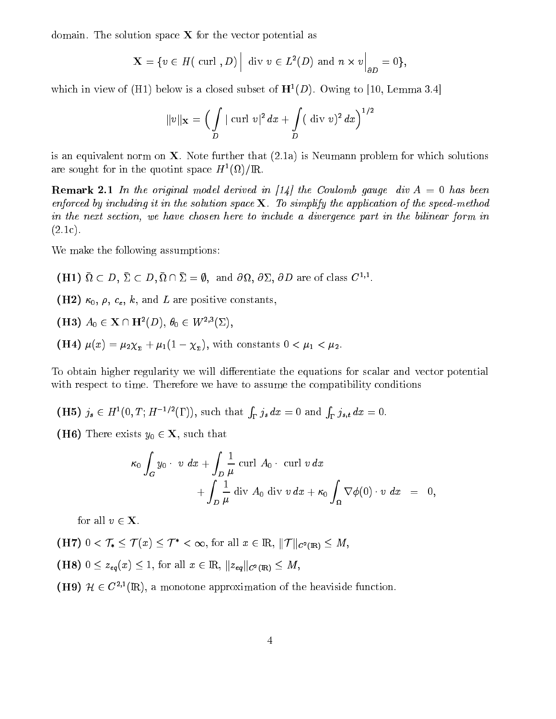domain. The solution space  $X$  for the vector potential as

$$
\mathbf{X} = \{ v \in H(\text{ curl }, D) \Big| \text{ div } v \in L^2(D) \text{ and } n \times v \Big|_{\partial D} = 0 \},
$$

which in view of (H1) below is a closed subset of  $H^1(D)$ . Owing to [10, Lemma 3.4]

$$
\|v\|_{\mathbf{X}} = \Big( \int\limits_{D}|\operatorname{curl} \, v|^2 \, dx + \int\limits_{D} (\,\, \operatorname{div} \, v)^2 \, dx \Big)^{1/2}
$$

is an equivalent norm on  $X$ . Note further that  $(2.1a)$  is Neumann problem for which solutions are sought for in the quotint space  $H^-(\Omega)/\mathbb{R}.$ 

**Remark 2.1** In the original model derived in [14] the Coulomb gauge div  $A = 0$  has been enforced by including it in the solution space  $X$ . To simplify the application of the speed-method in the next section, we have chosen here to include a divergence part in the bilinear form in  $(2.1c).$ 

We make the following assumptions:

 $(H1)$   $\mathcal{U} \subset D$ ,  $\mathcal{L} \subset D$ ,  $\mathcal{U} \cap \mathcal{L} = \emptyset$ , and  $\mathcal{O}\mathcal{U}$ ,  $\mathcal{O}\mathcal{L}$ ,  $\mathcal{O}D$  are of class  $\mathcal{U}^{-1}$ .

(H2)  $\kappa_0$ ,  $\rho$ ,  $c_{\varepsilon}$ ,  $k$ , and L are positive constants,

(H3)  $A_0 \in \mathbf{X} \cap \mathbf{H}^2(D)$ ,  $\theta_0 \in W^{2,3}(\Sigma)$ ,

(H4)  $\mu(x) = \mu_2 \chi_{\bar{x}} + \mu_1 (1 - \chi_{\bar{x}})$ , with constants  $0 < \mu_1 < \mu_2$ .

To obtain higher regularity we will differentiate the equations for scalar and vector potential with respect to time. Therefore we have to assume the compatibility conditions

(H5)  $j_s \in H^1(0,T; H^{-1/2}(\Gamma))$ , such that  $\int_{\Gamma} j_s dx = 0$  and  $\int_{\Gamma} j_{s,t} dx = 0$ .

(H6) There exists  $y_0 \in \mathbf{X}$ , such that

$$
\kappa_0 \int_G y_0 \cdot v \, dx + \int_D \frac{1}{\mu} \operatorname{curl} A_0 \cdot \operatorname{curl} v \, dx + \int_D \frac{1}{\mu} \operatorname{div} A_0 \operatorname{div} v \, dx + \kappa_0 \int_{\Omega} \nabla \phi(0) \cdot v \, dx = 0,
$$

for all  $v \in \mathbf{X}$ .

 $(HT) \cup \langle T_1 \leq T(x) \leq T \rangle \langle \infty$ , for all  $x \in \mathbb{R}, ||T||_{C^2(\mathbb{R})} \leq M,$ 

 $(1 - 1)^2$   $\le$   $(1 - 1)^2$   $(1 - 1)^2$   $(1 - 1)^2$   $(1 - 1)^2$   $(1 - 1)^2$   $(1 - 1)^2$   $(1 - 1)^2$ 

(H9)  $H \in C^{\infty}(\mathbb{R})$ , a monotone approximation of the heaviside function.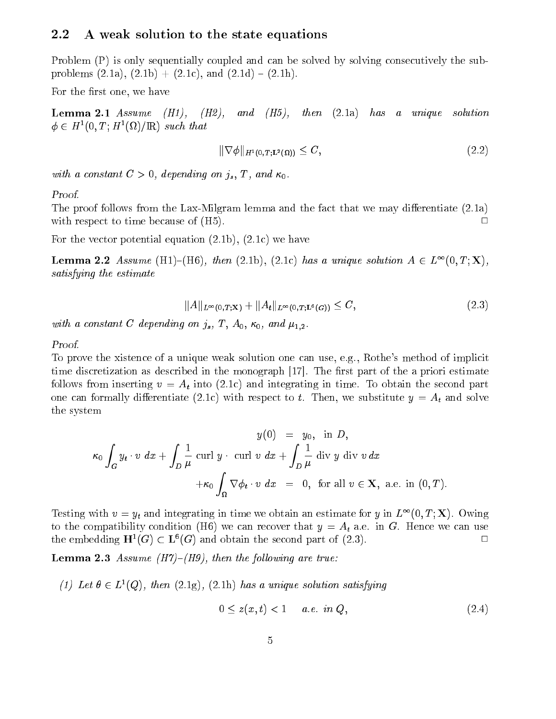# 2.2 A weak solution to the state equations

Problem (P) is only sequentially coupled and can be solved by solving consecutively the subproblems  $(2.1a)$ ,  $(2.1b) + (2.1c)$ , and  $(2.1d) - (2.1h)$ .

For the first one, we have

**Lemma 2.1** Assume  $(H1)$ ,  $(H2)$ , and  $(H5)$ , then  $(2.1a)$  has a unique solution  $\varphi \in \Pi^-(0,1; \Pi^-(\Omega))$  in such that

$$
\|\nabla\phi\|_{H^1(0,T;\mathbf{L}^2(\Omega))} \le C,\tag{2.2}
$$

with a constant  $C > 0$ , depending on  $j_s$ , T, and  $\kappa_0$ .

Proof.

The proof follows from the Lax-Milgram lemma and the fact that we may differentiate  $(2.1a)$ with respect to time because of  $(H5)$ .  $\Box$ 

For the vector potential equation (2.1b), (2.1c) we have

**Lemma 2.2** Assume  $\text{[H1]}-\text{[H0]}$ , then (2.1b), (2.1c) has a unique solution  $A \in L^-(0,1; \Lambda)$ , satisfying the estimate

$$
||A||_{L^{\infty}(0,T;X)} + ||A_t||_{L^{\infty}(0,T;L^6(G))} \leq C,
$$
\n(2.3)

with a constant C depending on  $j_s$ , T,  $A_0$ ,  $\kappa_0$ , and  $\mu_{1,2}$ .

### Proof.

To prove the xistence of a unique weak solution one can use, e.g., Rothe's method of implicit time discretization as described in the monograph  $[17]$ . The first part of the a priori estimate follows from inserting  $v = A_t$  into (2.1c) and integrating in time. To obtain the second part one can formally differentiate (2.1c) with respect to t. Then, we substitute  $y = A_t$  and solve the system

$$
y(0) = y_0, \text{ in } D,
$$
  
\n
$$
\kappa_0 \int_G y_t \cdot v \, dx + \int_D \frac{1}{\mu} \operatorname{curl} y \cdot \operatorname{curl} v \, dx + \int_D \frac{1}{\mu} \operatorname{div} y \, \operatorname{div} v \, dx
$$
  
\n
$$
+ \kappa_0 \int_{\Omega} \nabla \phi_t \cdot v \, dx = 0, \text{ for all } v \in \mathbf{X}, \text{ a.e. in } (0, T).
$$

Testing with  $v = y_t$  and integrating in time we obtain an estimate for y in  $L^{\infty}(0,1; \mathbf{\Lambda})$ . Owing to the compatibility condition (H6) we can recover that  $y = A_t$  a.e. in G. Hence we can use the embedding  $\mathbf{H}^1(G) \subset \mathbf{L}^6(G)$  and obtain the second part of (2.3).

**Lemma 2.3** Assume  $(H7)$ – $(H9)$ , then the following are true:

(1) Let  $\theta \in L^1(Q)$ , then  $(2.1g)$ ,  $(2.1h)$  has a unique solution satisfying

$$
0 \le z(x, t) < 1 \quad a.e. \text{ in } Q,\tag{2.4}
$$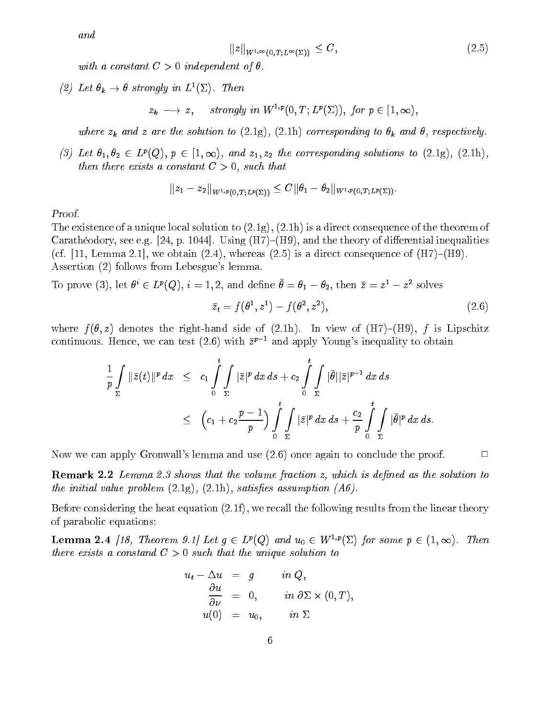and

$$
||z||_{W^{1,\infty}(0,T;L^{\infty}(\Sigma))} \leq C, \qquad (2.5)
$$

with a constant  $C > 0$  independent of  $\theta$ .

(2) Let  $\theta_k \to \theta$  strongly in  $L^1(\Sigma)$ . Then

 $z_k \longrightarrow z$ , strongly in  $W^{1,p}(0,T;L^p(\Sigma))$ , for  $p \in [1,\infty)$ ,

where  $z_k$  and z are the solution to (2.1g), (2.1h) corresponding to  $\theta_k$  and  $\theta$ , respectively.

(3) Let  $\theta_1, \theta_2 \in L^p(Q), p \in [1,\infty)$ , and  $z_1, z_2$  the corresponding solutions to  $(2.1g)$ ,  $(2.1h)$ , then there exists a constant  $C > 0$ , such that

$$
\|z_1-z_2\|_{W^{1,p}(0,T;L^p(\Sigma))}\leq C\|\theta_1-\theta_2\|_{W^{1,p}(0,T;L^p(\Sigma))}.
$$

Proof.

The existence of a unique local solution to (2.1g), (2.1h) is a direct consequence of the theorem of Carathéodory, see e.g. [24, p. 1044]. Using  $(H7)$ – $(H9)$ , and the theory of differential inequalities (cf. [11, Lemma 2.1], we obtain  $(2.4)$ , whereas  $(2.5)$  is a direct consequence of  $(H7)$ – $(H9)$ . Assertion (2) follows from Lebesgue's lemma.

10 prove (3), let  $v \in L^r(Q)$ ,  $i = 1, 2$ , and define  $v = v_1 - v_2$ , then  $z = z^2 - z^2$  solves  $z_t = f(\theta^-, z^-) - f(\theta^-, z^-)$  $(2.6)$ 

where  $f(\theta, z)$  denotes the right-hand side of (2.1h). In view of (H7)–(H9), f is Lipschitz continuous. Hence, we can test (2.6) with  $\bar{z}^{p-1}$  and apply Young's inequality to obtain

$$
\frac{1}{p}\int_{\Sigma} \|\bar{z}(t)\|^p dx \leq c_1 \int_{0}^{t} \int_{\Sigma} |\bar{z}|^p dx ds + c_2 \int_{0}^{t} \int_{\Sigma} |\bar{\theta}||\bar{z}|^{p-1} dx ds \n\leq (c_1 + c_2 \frac{p-1}{p}) \int_{0}^{t} \int_{\Sigma} |\bar{z}|^p dx ds + \frac{c_2}{p} \int_{0}^{t} \int_{\Sigma} |\bar{\theta}|^p dx ds.
$$

Now we can apply Gronwall's lemma and use  $(2.6)$  once again to conclude the proof.  $\Box$ 

**Remark 2.2** Lemma 2.3 shows that the volume fraction z, which is defined as the solution to the initial value problem  $(2.1g)$ ,  $(2.1h)$ , satisfies assumption  $(A6)$ .

Before considering the heat equation (2.1f), we recall the following results from the linear theory of parabolic equations:

**Lemma 2.4** [18, Theorem 9.1] Let  $g \in L^p(Q)$  and  $u_0 \in W^{1,p}(\Sigma)$  for some  $p \in (1,\infty)$ . Then there exists a constand  $C > 0$  such that the unique solution to

$$
u_t - \Delta u = g \t in Q,
$$
  
\n
$$
\frac{\partial u}{\partial \nu} = 0, \t in \partial \Sigma \times (0, T),
$$
  
\n
$$
u(0) = u_0, \t in \Sigma
$$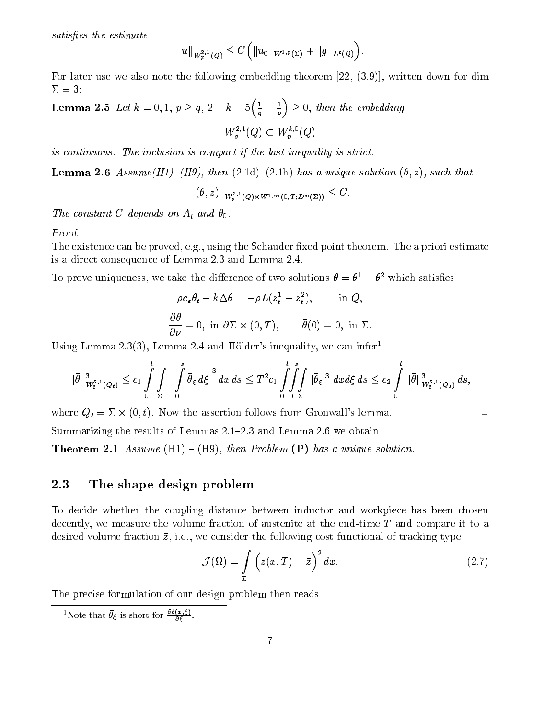satisfies the estimate

$$
\|u\|_{W^{2,1}_p(Q)}\leq C\Big(\|u_0\|_{W^{1,p}(\Sigma)}+\|g\|_{L^p(Q)}\Big).
$$

For later use we also note the following embedding theorem [22, (3.9)], written down for dim  $\Sigma=3$ :

Lemma 2.5 Let  $k = 0, 1, p \geq q, 2 - k - 5\left(\frac{1}{q} - \frac{1}{p}\right) \geq 0$ , then the embedding  $W_q^{\bullet,-}(Q) \subset W_p^{\bullet,-}(Q)$ 

is continuous. The inclusion is compact if the last inequality is strict.

**Lemma 2.6** Assume(H1)–(H9), then  $(2.1d)-(2.1h)$  has a unique solution  $(\theta, z)$ , such that

$$
\|(\theta,z)\|_{W^{2,1}_3(Q)\times W^{1,\infty}(0,T;L^\infty(\Sigma))}\leq C.
$$

The constant C depends on  $A_t$  and  $\theta_0$ .

### Proof.

The existence can be proved, e.g., using the Schauder fixed point theorem. The a priori estimate is a direct consequence of Lemma 2.3 and Lemma 2.4.

To prove uniqueness, we take the difference of two solutions  $\sigma = \sigma^- - \sigma^-$  which satisfies

$$
\rho c_{\varepsilon} \bar{\theta}_{t} - k \Delta \bar{\theta} = -\rho L (z_{t}^{1} - z_{t}^{2}), \quad \text{in } Q,
$$

$$
\frac{\partial \bar{\theta}}{\partial \nu} = 0, \text{ in } \partial \Sigma \times (0, T), \quad \bar{\theta}(0) = 0, \text{ in } \Sigma.
$$

Using Lemma 2.3(3), Lemma 2.4 and Hölder's inequality, we can infer

$$
\|\bar{\theta}\|_{W^{2,1}_3(Q_t)}^3\leq c_1\int\limits_0^t\int\limits_{\Sigma}\Big|\int\limits_0^s\bar{\theta}_{\xi}\,d\xi\Big|^3\,dx\,ds\leq T^2c_1\int\limits_0^t\int\limits_{\Sigma}\int\limits_0^s\|\bar{\theta}_{\xi}\|^3\,dx d\xi\,ds\leq c_2\int\limits_0^t\|\bar{\theta}\|_{W^{2,1}_3(Q_s)}^3\,ds,
$$

where  $Q_t = \Sigma \times (0,t)$ . Now the assertion follows from Gronwall's lemma.

Summarizing the results of Lemmas  $2.1-2.3$  and Lemma  $2.6$  we obtain

**Theorem 2.1** Assume  $(H1) - (H9)$ , then Problem  $(P)$  has a unique solution.

# 2.3 The shape design problem

To decide whether the coupling distance between inductor and workpiece has been chosen decently, we measure the volume fraction of austenite at the end-time  $T$  and compare it to a desired volume fraction  $\bar{z}$ , i.e., we consider the following cost functional of tracking type

$$
\mathcal{J}(\Omega) = \int\limits_{\Sigma} \left( z(x,T) - \bar{z} \right)^2 dx. \tag{2.7}
$$

The precise formulation of our design problem then reads

Note that  $\theta_{\xi}$  is short for  $\frac{\partial \theta(x, \xi)}{\partial \xi}$ .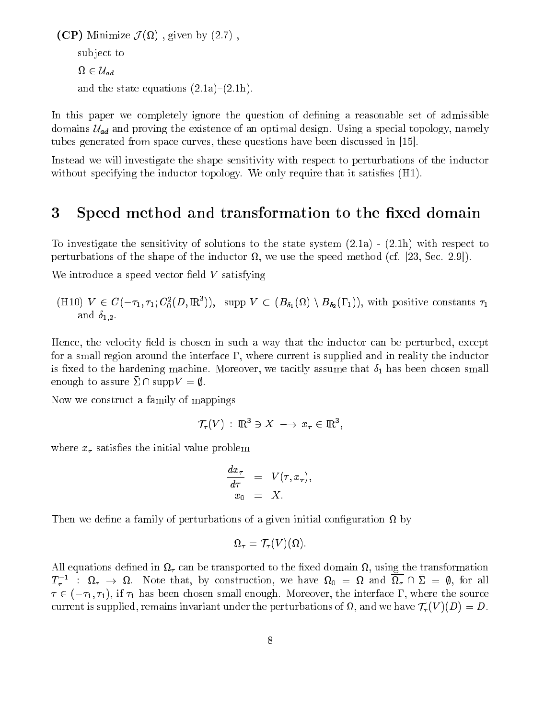$\mathcal{N}$  , and the contract  $\mathcal{N}$  (  $\mathcal{N}$  ) ,  $\mathcal{N}$  , and  $\mathcal{N}$  ,  $\mathcal{N}$  ,  $\mathcal{N}$  ,  $\mathcal{N}$  ,  $\mathcal{N}$  ,  $\mathcal{N}$  ,  $\mathcal{N}$  ,  $\mathcal{N}$  ,  $\mathcal{N}$  ,  $\mathcal{N}$  ,  $\mathcal{N}$  ,  $\mathcal{N}$  ,  $\mathcal{N}$  ,  $\mathcal{N}$  , sub ject to  $$ and the state equations  $(2.1a)-(2.1h)$ .

In this paper we completely ignore the question of defining a reasonable set of admissible domains using the existence of an optimal design. Using a special topology, which the existence of the existence of tubes generated from space curves, these questions have been discussed in [15].

Instead we will investigate the shape sensitivity with respect to perturbations of the inductor without specifying the inductor topology. We only require that it satisfies  $(H1)$ .

#### 3Speed method and transformation to the fixed domain

To investigate the sensitivity of solutions to the state system (2.1a) - (2.1h) with respect to perturbations of the shape of the inductor , we use the speed method (cf. [23, Sec. 2.9]).

We introduce a speed vector field  $V$  satisfying

 $(H10)$   $V \in C(-\tau_1, \tau_1; C_0(U, \mathbb{R}^r)),$  supp  $V \subset (B_{\delta_1}(M) \setminus B_{\delta_2}(1_1)),$  with positive constants  $\tau_1$ and  $\delta_{1,2}$ .

Hence, the velocity field is chosen in such a way that the inductor can be perturbed, except for a small region around the interface  $\Gamma$ , where current is supplied and in reality the inductor is fixed to the hardening machine. Moreover, we tacitly assume that  $\delta_1$  has been chosen small enough to assure  $\bar{\Sigma} \cap \text{supp}V = \emptyset$ .

Now we construct a family of mappings

$$
\mathcal{T}_{\tau}(V) \,:\, \mathrm{I\!R}^3 \ni X \,\longrightarrow\, x_{\tau} \in \mathrm{I\!R}^3,
$$

where  $x_{\tau}$  satisfies the initial value problem

$$
\frac{dx_{\tau}}{d\tau} = V(\tau, x_{\tau}),
$$
  

$$
x_0 = X.
$$

Then we dene a family of perturbations of a given initial conguration by

$$
\Omega_\tau = \mathcal{T}_\tau(V)(\Omega).
$$

, using the transported to the transported to the transported to the transported to the transported the transported to  $I_{\tau}$  :  $\mu_{\tau} \to \mu$ . Note that, by construction, we have  $\mu_0 = \mu$  and  $\mu_{\tau} \mapsto \mu$ , for all  $2$  (1), if  $1$  if  $1$  has been chosen small enough small enough. Moreover, the source the source the source  $\alpha$ current is supplied, remains invariant under the perturbations of  $\mathbf{F}$ , and we have  $\mathbf{F}$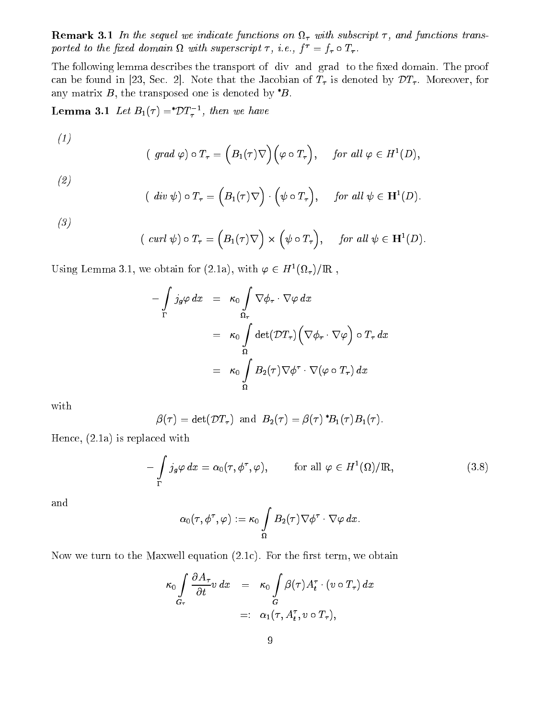**remark 3.1 In the sequel we indicately** junctions on  $\mathbf{F}_t$  with subscript  $\mathbf{F}_t$  and junctions transported to the fixed domain st with superscript  $\tau$ , i.e.,  $f = f_{\tau} \circ I_{\tau}$ .

The following lemma describes the transport of div and grad to the fixed domain. The proof can be found in [23, Sec. 2]. Note that the Jacobian of  $T_{\tau}$  is denoted by  $DT_{\tau}$ . Moreover, for any matrix  $B$ , the transposed one is denoted by  $^{\ast}B$ .

**Lemma 3.1** Let  $D_1(\tau) = D_1(\tau)$ , then we have

$$
(\text{ grad }\varphi) \circ T_{\tau} = (B_1(\tau) \nabla)(\varphi \circ T_{\tau}), \quad \text{ for all } \varphi \in H^1(D),
$$

(2)

(1)

$$
( div \psi) \circ T_{\tau} = (B_1(\tau) \nabla) \cdot (\psi \circ T_{\tau}), \quad \text{ for all } \psi \in \mathbf{H}^1(D).
$$

(3)

$$
(\operatorname{curl} \psi) \circ T_{\tau} = (B_1(\tau) \nabla) \times (\psi \circ T_{\tau}), \quad \text{for all } \psi \in \mathbf{H}^1(D).
$$

Using Lemma 3.1, we obtain for (2.1a), with  $\varphi \in H^1(M_\tau)/\mathbb{R}$ ,

$$
-\int_{\Gamma} j_g \varphi \, dx = \kappa_0 \int_{\Omega_{\tau}} \nabla \phi_{\tau} \cdot \nabla \varphi \, dx
$$
  

$$
= \kappa_0 \int_{\Omega} \det(\mathcal{D}T_{\tau}) \Big( \nabla \phi_{\tau} \cdot \nabla \varphi \Big) \circ T_{\tau} \, dx
$$
  

$$
= \kappa_0 \int_{\Omega} B_2(\tau) \nabla \phi^{\tau} \cdot \nabla (\varphi \circ T_{\tau}) \, dx
$$

with

$$
\beta(\tau) = \det(\mathcal{D}T_{\tau}) \text{ and } B_2(\tau) = \beta(\tau)^* B_1(\tau) B_1(\tau).
$$

Hence, (2.1a) is replaced with

$$
-\int_{\Gamma} j_{g}\varphi dx = \alpha_{0}(\tau, \phi^{\tau}, \varphi), \qquad \text{for all } \varphi \in H^{1}(\Omega)/\mathbb{R}, \qquad (3.8)
$$

and

$$
\alpha_0(\tau,\phi^\tau,\varphi):=\kappa_0\int\limits_{\Omega}B_2(\tau)\nabla\phi^\tau\cdot\nabla\varphi\,dx.
$$

Now we turn to the Maxwell equation  $(2.1c)$ . For the first term, we obtain

$$
\kappa_0 \int\limits_{G_{\tau}} \frac{\partial A_{\tau}}{\partial t} v \, dx = \kappa_0 \int\limits_G \beta(\tau) A_t^{\tau} \cdot (v \circ T_{\tau}) \, dx
$$

$$
=: \alpha_1(\tau, A_t^{\tau}, v \circ T_{\tau}),
$$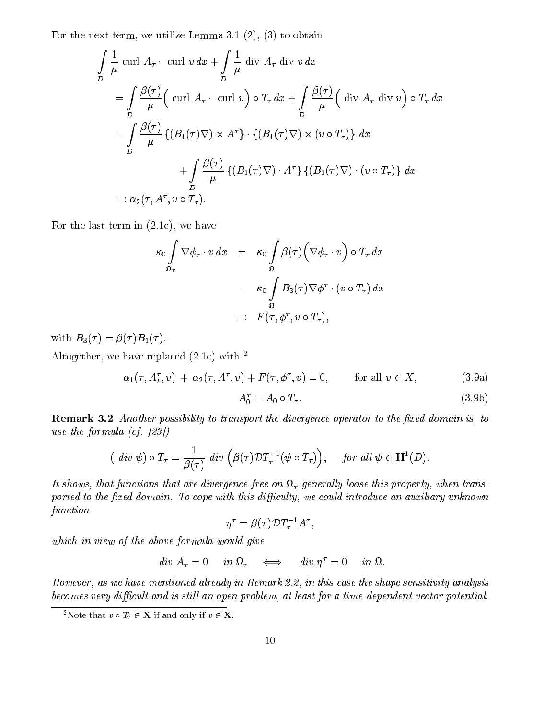For the next term, we utilize Lemma 3.1 (2), (3) to obtain

$$
\int_{D} \frac{1}{\mu} \operatorname{curl} A_{\tau} \cdot \operatorname{curl} v \, dx + \int_{D} \frac{1}{\mu} \operatorname{div} A_{\tau} \operatorname{div} v \, dx
$$
\n
$$
= \int_{D} \frac{\beta(\tau)}{\mu} \Big( \operatorname{curl} A_{\tau} \cdot \operatorname{curl} v \Big) \circ T_{\tau} \, dx + \int_{D} \frac{\beta(\tau)}{\mu} \Big( \operatorname{div} A_{\tau} \operatorname{div} v \Big) \circ T_{\tau} \, dx
$$
\n
$$
= \int_{D} \frac{\beta(\tau)}{\mu} \left\{ \big( B_{1}(\tau) \nabla \big) \times A^{\tau} \right\} \cdot \left\{ \big( B_{1}(\tau) \nabla \big) \times \big( v \circ T_{\tau} \big) \right\} \, dx
$$
\n
$$
+ \int_{D} \frac{\beta(\tau)}{\mu} \left\{ \big( B_{1}(\tau) \nabla \big) \cdot A^{\tau} \right\} \left\{ \big( B_{1}(\tau) \nabla \big) \cdot \big( v \circ T_{\tau} \big) \right\} \, dx
$$
\n
$$
=: \alpha_{2}(\tau, A^{\tau}, v \circ T_{\tau}).
$$

For the last term in (2.1c), we have

$$
\kappa_0 \int_{\Omega_{\tau}} \nabla \phi_{\tau} \cdot v \, dx = \kappa_0 \int_{\Omega} \beta(\tau) \Big( \nabla \phi_{\tau} \cdot v \Big) \circ T_{\tau} \, dx
$$

$$
= \kappa_0 \int_{\Omega} B_3(\tau) \nabla \phi^{\tau} \cdot (v \circ T_{\tau}) \, dx
$$

$$
=: F(\tau, \phi^{\tau}, v \circ T_{\tau}),
$$

with  $B_3(\tau) = \beta(\tau)B_1(\tau)$ .

Altogether, we have replaced  $(2.1c)$  with <sup>2</sup>

$$
\alpha_1(\tau, A_t^{\tau}, v) + \alpha_2(\tau, A^{\tau}, v) + F(\tau, \phi^{\tau}, v) = 0, \quad \text{for all } v \in X,
$$
\n(3.9a)

$$
A_0^{\tau} = A_0 \circ T_{\tau}.
$$
\n
$$
(3.9b)
$$

**Remark 3.2** Another possibility to transport the divergence operator to the fixed domain is, to use the formula (cf. [23])

$$
(\,\,div\,\,\psi)\circ T_{\tau}=\frac{1}{\beta(\tau)}\,\,div\,\Big(\beta(\tau)\mathcal{D}T_{\tau}^{-1}(\psi\circ T_{\tau})\Big),\quad \text{ for all } \psi\in \mathbf{H}^{1}(D).
$$

it shows, that functions that are divergence-free on the free only loose this property, when the c ported to the fixed domain. To cope with this difficulty, we could introduce an auxiliary unknown function

$$
\eta^\tau = \beta(\tau) {\cal D} T_\tau^{-1} A^\tau,
$$

which in view of the above formula would give

$$
div A_{\tau} = 0 \quad in \Omega_{\tau} \quad \Longleftrightarrow \quad div \; \eta^{\tau} = 0 \quad in \; \Omega.
$$

However, as we have mentioned already in Remark 2.2, in this case the shape sensitivity analysis becomes very difficult and is still an open problem, at least for a time-dependent vector potential.

<sup>&</sup>lt;sup>2</sup>Note that  $v \circ T_\tau \in \mathbf{X}$  if and only if  $v \in \mathbf{X}$ .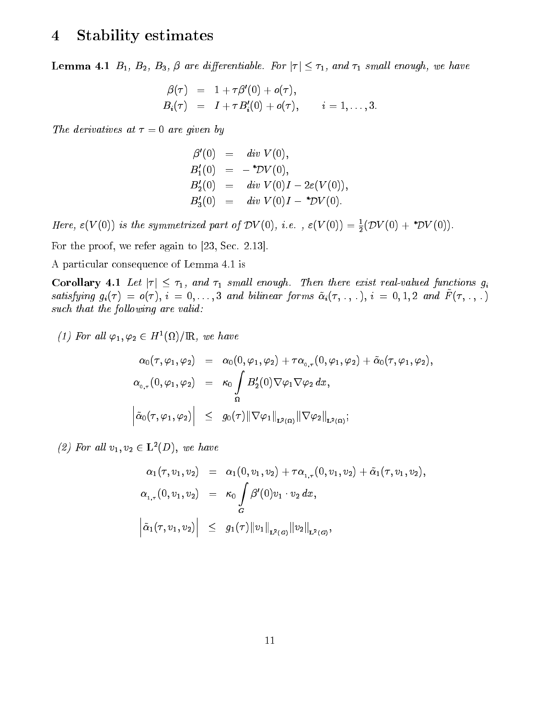### 4Stability estimates

**Lemma 4.1**  $B_1$ ,  $B_2$ ,  $B_3$ ,  $\beta$  are differentiable. For  $|\tau| \leq \tau_1$ , and  $\tau_1$  small enough, we have

$$
\begin{array}{lcl} \beta(\tau) & = & 1 + \tau \beta'(0) + o(\tau), \\ B_i(\tau) & = & I + \tau B_i'(0) + o(\tau), \qquad i = 1, \ldots, 3. \end{array}
$$

The derivatives at  $\tau = 0$  are given by

$$
\beta'(0) = div V(0),\nB'_1(0) = -*DV(0),\nB'_2(0) = div V(0)I - 2\varepsilon(V(0)),\nB'_3(0) = div V(0)I - *DV(0).
$$

Here,  $\varepsilon$ (V(U)) is the symmetrized part of DV(U), i.e.,  $\varepsilon$ (V(U)) =  $\frac{1}{2}$ (DV(U)+ DV(U)).

For the proof, we refer again to [23, Sec. 2.13].

A particular consequence of Lemma 4.1 is

Corollary 4.1 Let  $|\tau| \leq \tau_1$ , and  $\tau_1$  small enough. Then there exist real-valued functions  $g_i$  $s$ uttsfying  $g_i(\tau) = o(\tau), i = 0, \ldots, o$  and bilinear forms  $\alpha_i(\tau, \ldots, \tau)$ ,  $i = 0, 1, 2$  and  $T(\tau, \ldots, \tau)$ such that the following are valid:

(1) For all  $\varphi_1, \varphi_2 \in H^1(M)/H$ , we have

$$
\alpha_0(\tau, \varphi_1, \varphi_2) = \alpha_0(0, \varphi_1, \varphi_2) + \tau \alpha_{0,\tau}(0, \varphi_1, \varphi_2) + \tilde{\alpha}_0(\tau, \varphi_1, \varphi_2),
$$
  
\n
$$
\alpha_{0,\tau}(0, \varphi_1, \varphi_2) = \kappa_0 \int \frac{B_2'(0) \nabla \varphi_1 \nabla \varphi_2 dx}{\Omega},
$$
  
\n
$$
\left| \tilde{\alpha}_0(\tau, \varphi_1, \varphi_2) \right| \leq g_0(\tau) \|\nabla \varphi_1\|_{\mathbf{L}^2(\Omega)} \|\nabla \varphi_2\|_{\mathbf{L}^2(\Omega)};
$$

(2) For all  $v_1, v_2 \in \mathbf{L}^2(D)$ , we have

$$
\alpha_1(\tau, v_1, v_2) = \alpha_1(0, v_1, v_2) + \tau \alpha_{1, \tau}(0, v_1, v_2) + \tilde{\alpha}_1(\tau, v_1, v_2),
$$
  
\n
$$
\alpha_{1, \tau}(0, v_1, v_2) = \kappa_0 \int_G \beta'(0) v_1 \cdot v_2 \, dx,
$$
  
\n
$$
\left| \tilde{\alpha}_1(\tau, v_1, v_2) \right| \leq g_1(\tau) \|v_1\|_{L^2(G)} \|v_2\|_{L^2(G)},
$$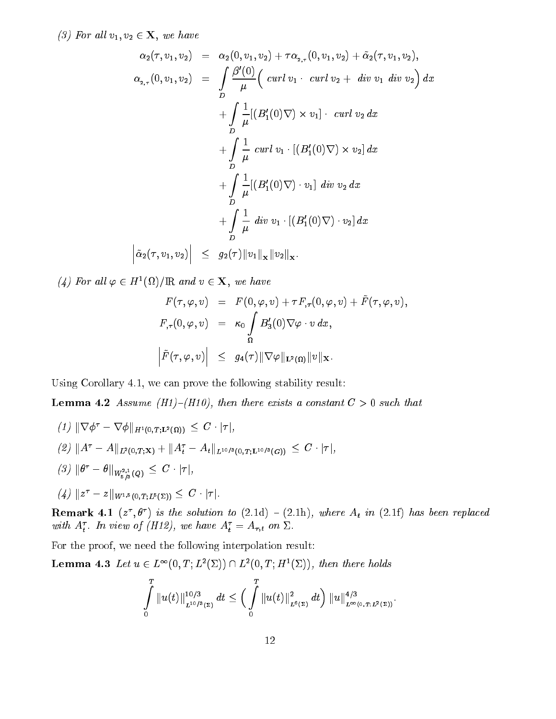(3) For all  $v_1, v_2 \in \mathbf{X}$ , we have

$$
\alpha_{2}(\tau, v_{1}, v_{2}) = \alpha_{2}(0, v_{1}, v_{2}) + \tau \alpha_{2, \tau}(0, v_{1}, v_{2}) + \tilde{\alpha}_{2}(\tau, v_{1}, v_{2}),
$$
  
\n
$$
\alpha_{2, \tau}(0, v_{1}, v_{2}) = \int_{D} \frac{\beta'(0)}{\mu} \Big( \operatorname{curl} v_{1} \cdot \operatorname{curl} v_{2} + \operatorname{div} v_{1} \operatorname{div} v_{2} \Big) dx \n+ \int_{D} \frac{1}{\mu} [ (B'_{1}(0) \nabla) \times v_{1} ] \cdot \operatorname{curl} v_{2} dx \n+ \int_{D} \frac{1}{\mu} \operatorname{curl} v_{1} \cdot [ (B'_{1}(0) \nabla) \times v_{2} ] dx \n+ \int_{D} \frac{1}{\mu} [ (B'_{1}(0) \nabla) \cdot v_{1} ] \operatorname{div} v_{2} dx \n+ \int_{D} \frac{1}{\mu} \operatorname{div} v_{1} \cdot [ (B'_{1}(0) \nabla) \cdot v_{2} ] dx \n+ \int_{D} \frac{1}{\mu} \operatorname{div} v_{1} \cdot [ (B'_{1}(0) \nabla) \cdot v_{2} ] dx \n+ \tilde{\alpha}_{2}(\tau, v_{1}, v_{2}) \Big| \leq g_{2}(\tau) \| v_{1} \|_{x} \| v_{2} \|_{x} .
$$

(4) For all  $\varphi \in H^1(M)/{\rm IR}$  and  $v \in \Lambda$ , we have

$$
F(\tau, \varphi, v) = F(0, \varphi, v) + \tau F_{,\tau}(0, \varphi, v) + \tilde{F}(\tau, \varphi, v),
$$
  
\n
$$
F_{,\tau}(0, \varphi, v) = \kappa_0 \int \limits_{\Omega} B'_3(0) \nabla \varphi \cdot v \, dx,
$$
  
\n
$$
\left| \tilde{F}(\tau, \varphi, v) \right| \leq g_4(\tau) \|\nabla \varphi\|_{\mathbf{L}^2(\Omega)} \|v\|_{\mathbf{X}}.
$$

Using Corollary 4.1, we can prove the following stability result:

**Lemma 4.2** Assume (H1)–(H10), then there exists a constant  $C > 0$  such that

 $(1) \parallel V \varphi = V \varphi \parallel_{H^1(0,T;{\bf L}^2(\Omega))} \leq C \cdot |T|,$  $\|Z\|_{\mathcal{H}}\leq \|A\| = A\|L^2(0,T; \mathbf{X}) + \|A_t - A_t\|_{L^{10/3}(0,T; \mathbf{L}^{10/3}(G))} \ \leq \ C\cdot |\mathcal{T}|,$  $(\vartheta)$   $\|\theta - \theta\|_{W^{2,1}_{5/3}(Q)} \leq C \cdot |\tau|,$  $(4)$   $||z - z||_{W^{1,5}(0,T;L^5(\Sigma))} \geq C \cdot |T|.$ 

**Remark 4.1** (*z*,  $\sigma$ ) is the solution to (2.1d) – (2.1h), where  $A_t$  in (2.11) has been replaced with  $A_t$ . In view of  $(H1z)$ , we have  $A_t = A_{\tau,t}$  on  $\omega$ .

For the proof, we need the following interpolation result:

**Lemma 4.3** Let  $u \in L^{\infty}(0,1; L^2(\Sigma)) \cup L^2(0,1; H^2(\Sigma))$ , then there holds

$$
\int\limits_{0}^{T}\|u(t)\|_{L^{10/3}(\Sigma)}^{10/3}\,dt\leq\Big(\int\limits_{0}^{T}\|u(t)\|_{L^{6}(\Sigma)}^{2}\,dt\Big)\,\|u\|_{L^{\infty}(0,T;L^{2}(\Sigma))}^{4/3}.
$$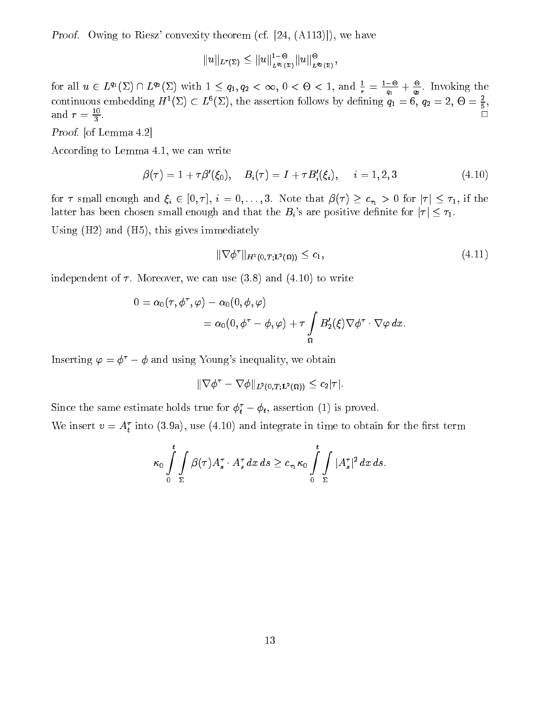Proof. Owing to Riesz' convexity theorem (cf. [24, (A113)]), we have

$$
||u||_{L^r(\Sigma)} \leq ||u||_{L^{q_1}(\Sigma)}^{1-\Theta} ||u||_{L^{q_2}(\Sigma)}^{\Theta},
$$

for all  $u \in L^{n}(\Sigma) \cap L^{n}(\Sigma)$  with  $1 \leq q_1, q_2 < \infty, 0 < \Theta < 1$ , and  $\frac{1}{r} = \frac{1}{q_1} + \frac{1}{q_2}$ . In  $q_2$  . Invoking the set of  $q_2$ continuous embedding  $H^-(\lambda) \subset L^2(\lambda)$ , the assertion follows by defining  $q_1 = 0$ ,  $q_2 = \lambda$ ,  $\forall \theta = \frac{1}{5}$ , and  $r = \frac{1}{2}$ . and  $r = \frac{10}{3}$ .

Proof. [of Lemma 4.2]

According to Lemma 4.1, we can write

$$
\beta(\tau) = 1 + \tau \beta'(\xi_0), \quad B_i(\tau) = I + \tau B_i'(\xi_i), \quad i = 1, 2, 3 \tag{4.10}
$$

for  $\tau$  small enough and  $\xi_i \in [0, \tau], i = 0, \ldots, 3$ . Note that  $\beta(\tau) \ge c_{\tau_1} > 0$  for  $|\tau| \le \tau_1$ , if the latter has been chosen small enough and that the  $B_i$ 's are positive definite for  $|\tau| \leq \tau_1$ .

Using (H2) and (H5), this gives immediately

$$
\|\nabla \phi^\tau\|_{H^1(0,T;\mathbf{L}^2(\Omega))} \leq c_1,\tag{4.11}
$$

independent of  $\tau$ . Moreover, we can use (3.8) and (4.10) to write

$$
\begin{aligned} 0&=\alpha_0(\tau,\phi^\tau,\varphi)-\alpha_0(0,\phi,\varphi)\\&=\alpha_0(0,\phi^\tau-\phi,\varphi)+\tau\int\limits_{\Omega}B_2'(\xi)\nabla\phi^\tau\cdot\nabla\varphi\,dx. \end{aligned}
$$

Inserting  $\varphi = \phi^{\tau} - \phi$  and using Young's inequality, we obtain

$$
\|\nabla \phi^\tau - \nabla \phi\|_{L^2(0,T;{\bf L}^2(\Omega))} \le c_2 |\tau|.
$$

Since the same estimate holds true for  $\varphi_t - \varphi_t$ , assertion (1) is proved.

We insert  $v = A_t$  into (5.9a), use (4.10) and integrate in time to obtain for the first term

$$
\kappa_0 \int\limits_{0}^{t}\int\limits_{\Sigma} \beta(\tau) A^{\tau}_{s}\cdot A^{\tau}_{s} \,dx\,ds\geq c_{\tau_1}\kappa_0 \int\limits_{0}^{t}\int\limits_{\Sigma}|A^{\tau}_{s}|^2\,dx\,ds.
$$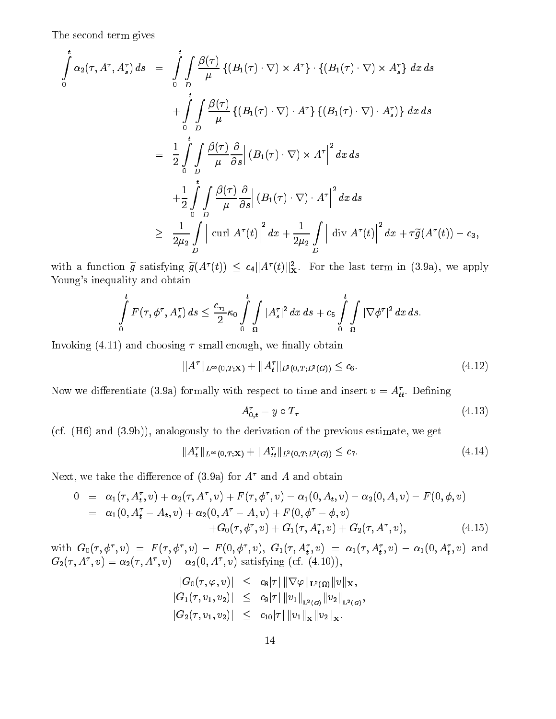The second term gives

$$
\int_{0}^{t} \alpha_{2}(\tau, A^{\tau}, A_{s}^{\tau}) ds = \int_{0}^{t} \int_{D} \frac{\beta(\tau)}{\mu} \left\{ (B_{1}(\tau) \cdot \nabla) \times A^{\tau} \right\} \cdot \left\{ (B_{1}(\tau) \cdot \nabla) \times A_{s}^{\tau} \right\} dx ds
$$
\n
$$
+ \int_{0}^{t} \int_{D} \frac{\beta(\tau)}{\mu} \left\{ (B_{1}(\tau) \cdot \nabla) \cdot A^{\tau} \right\} \left\{ (B_{1}(\tau) \cdot \nabla) \cdot A_{s}^{\tau} \right\} dx ds
$$
\n
$$
= \frac{1}{2} \int_{0}^{t} \int_{D} \frac{\beta(\tau)}{\mu} \frac{\partial}{\partial s} \left| (B_{1}(\tau) \cdot \nabla) \times A^{\tau} \right|^{2} dx ds
$$
\n
$$
+ \frac{1}{2} \int_{0}^{t} \int_{D} \frac{\beta(\tau)}{\mu} \frac{\partial}{\partial s} \left| (B_{1}(\tau) \cdot \nabla) \cdot A^{\tau} \right|^{2} dx ds
$$
\n
$$
\geq \frac{1}{2\mu_{2}} \int_{D} \left| \operatorname{curl} A^{\tau}(t) \right|^{2} dx + \frac{1}{2\mu_{2}} \int_{D} \left| \operatorname{div} A^{\tau}(t) \right|^{2} dx + \tau \tilde{g}(A^{\tau}(t)) - c_{3},
$$

with a function g satisfying  $g(A \ (t)) \leq c_4 \|A \ (t)\|_X^2$ . For the last term in (3.9a), we apply Young's inequality and obtain

$$
\int\limits_{0}^{t} F(\tau, \phi^{\tau}, A^{\tau}_{s}) ds \leq \frac{c_{\tau_1}}{2} \kappa_0 \int\limits_{0}^{t} \int\limits_{\Omega} |A^{\tau}_{s}|^2 dx ds + c_5 \int\limits_{0}^{t} \int\limits_{\Omega} |\nabla \phi^{\tau}|^2 dx ds.
$$

Invoking  $(4.11)$  and choosing  $\tau$  small enough, we finally obtain

$$
||A^{\tau}||_{L^{\infty}(0,T;X)} + ||A_t^{\tau}||_{L^2(0,T;L^2(G))} \leq c_6.
$$
\n(4.12)

Now we differentiate (5.9a) formally with respect to time and insert  $v = A_{tt}$ . Defining

$$
A_{0,t}^{\tau} = y \circ T_{\tau} \tag{4.13}
$$

(cf. (H6) and (3.9b)), analogously to the derivation of the previous estimate, we get

$$
||A_t^\tau||_{L^\infty(0,T;X)} + ||A_{tt}^\tau||_{L^2(0,T;L^2(G))} \leq c_7. \tag{4.14}
$$

Next, we take the difference of  $(3.9a)$  for  $A^{\tau}$  and A and obtain

$$
0 = \alpha_1(\tau, A_t^{\tau}, v) + \alpha_2(\tau, A^{\tau}, v) + F(\tau, \phi^{\tau}, v) - \alpha_1(0, A_t, v) - \alpha_2(0, A, v) - F(0, \phi, v) = \alpha_1(0, A_t^{\tau} - A_t, v) + \alpha_2(0, A^{\tau} - A, v) + F(0, \phi^{\tau} - \phi, v) + G_0(\tau, \phi^{\tau}, v) + G_1(\tau, A_t^{\tau}, v) + G_2(\tau, A^{\tau}, v),
$$
(4.15)

with  $G_0(\tau, \phi_-, v_-) = F(\tau, \phi_-, v_-) - F(0, \phi_-, v_-, G_1(\tau, A_t, v_-) = \alpha_1(\tau, A_t, v_-) - \alpha_1(0, A_t, v_-)$  and  $G_2(\tau, A^{\dagger}, v) = \alpha_2(\tau, A^{\dagger}, v) - \alpha_2(0, A^{\dagger}, v)$  satisfying (cf. (4.10)),

> $\|\mathbf{G}_0(\tau, \varphi, v)\| \;\;\leq\;\; c_8\|\tau\| \, \|\,\mathsf{V}\,\varphi\|_{\mathbf{L}^2(\Omega)}\|v\|_{\mathbf{X}},$  $\begin{bmatrix} \mathcal{C} & \mathcal{C} \\ \mathcal{C} & \mathcal{C} \end{bmatrix}$  , we can consider the contribution  $\mathcal{C} = \mathcal{C} \mathcal{C} \mathcal{C}$  in  $\mathcal{C} = \mathcal{C} \mathcal{C} \mathcal{C}$  in  $\mathcal{C} \mathcal{C} \mathcal{C}$  in  $\mathcal{C} \mathcal{C} \mathcal{C}$  in  $\mathcal{C} \mathcal{C} \mathcal{C}$  in  $\mathcal{C} \mathcal$  $|G_2(\tau, v_1, v_2)| \leq c_{10} |\tau| \|v_1\|_{\mathbf{x}} \|v_2\|_{\mathbf{x}}.$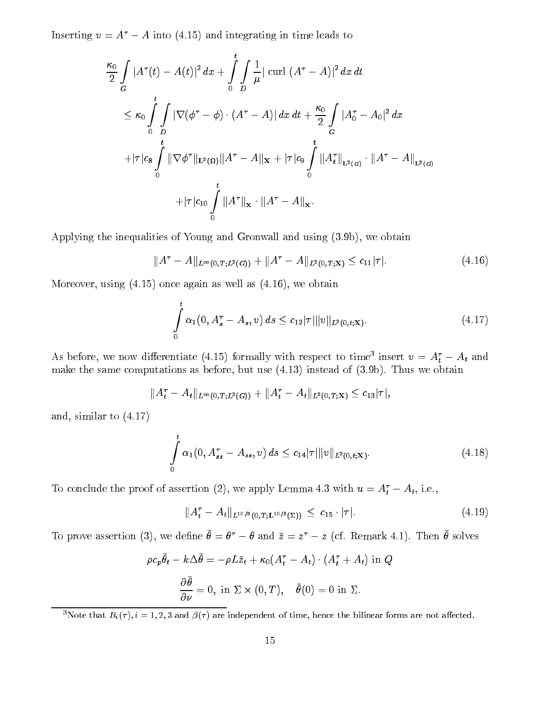Inserting  $v = A^* - A$  into (4.15) and integrating in time leads to

$$
\frac{\kappa_0}{2} \int\limits_G |A^{\tau}(t) - A(t)|^2 \, dx + \int\limits_0^t \int\limits_D \frac{1}{\mu} |\operatorname{curl} (A^{\tau} - A)|^2 \, dx \, dt
$$
\n
$$
\leq \kappa_0 \int\limits_0^t \int\limits_D |\nabla(\phi^{\tau} - \phi) \cdot (A^{\tau} - A)| \, dx \, dt + \frac{\kappa_0}{2} \int\limits_G |A_0^{\tau} - A_0|^2 \, dx
$$
\n
$$
+ |\tau| c_8 \int\limits_0^t \|\nabla \phi^{\tau}\|_{\mathbf{L}^2(\Omega)} \|A^{\tau} - A\|_{\mathbf{X}} + |\tau| c_9 \int\limits_0^t \|A_t^{\tau}\|_{\mathbf{L}^2(\mathcal{G})} \cdot \|A^{\tau} - A\|_{\mathbf{L}^2(\mathcal{G})}
$$
\n
$$
+ |\tau| c_{10} \int\limits_0^t \|A^{\tau}\|_{\mathbf{x}} \cdot \|A^{\tau} - A\|_{\mathbf{x}}.
$$

Applying the inequalities of Young and Gronwall and using (3.9b), we obtain

$$
||A^{\tau} - A||_{L^{\infty}(0,T;L^{2}(G))} + ||A^{\tau} - A||_{L^{2}(0,T;X)} \leq c_{11}|\tau|.
$$
\n(4.16)

Moreover, using (4.15) once again as well as (4.16), we obtain

$$
\int_{0}^{t} \alpha_{1}(0, A_{s}^{\tau} - A_{s}, v) ds \leq c_{12} |\tau| \|v\|_{L^{2}(0, t; \mathbf{X})}.
$$
\n(4.17)

As before, we now differentiate (4.15) formally with respect to time insert  $v = A_t - A_t$  and make the same computations as before, but use (4.13) instead of (3.9b). Thus we obtain

$$
||A_t^{\tau}-A_t||_{L^{\infty}(0,T;L^2(G))}+||A_t^{\tau}-A_t||_{L^2(0,T;{\bf X})}\leq c_{13}|\tau|,
$$

and, similar to (4.17)

$$
\int_{0}^{t} \alpha_{1}(0, A_{ss}^{\tau} - A_{ss}, v) ds \leq c_{14} |\tau| \|v\|_{L^{2}(0, t; \mathbf{X})}.
$$
\n(4.18)

To conclude the proof of assertion (2), we apply Lemma 4.5 with  $u = A_t - A_t$ , i.e.,

$$
||A_t^{\tau} - A_t||_{L^{10/3}(0,T;L^{10/3}(\Sigma))} \leq c_{15} \cdot |\tau|.
$$
 (4.19)

To prove assertion (5), we define  $\sigma = \sigma$   $-\sigma$  and  $z = z$   $-z$  (cf. remark 4.1). Then  $\sigma$  solves

$$
\rho c_p \bar{\theta}_t - k \Delta \bar{\theta} = -\rho L \bar{z}_t + \kappa_0 (A_t^{\tau} - A_t) \cdot (A_t^{\tau} + A_t) \text{ in } Q
$$

$$
\frac{\partial \bar{\theta}}{\partial \nu} = 0, \text{ in } \Sigma \times (0, T), \quad \bar{\theta}(0) = 0 \text{ in } \Sigma.
$$

<sup>3</sup>Note that  $B_i(\tau)$ ,  $i = 1, 2, 3$  and  $\beta(\tau)$  are independent of time, hence the bilinear forms are not affected.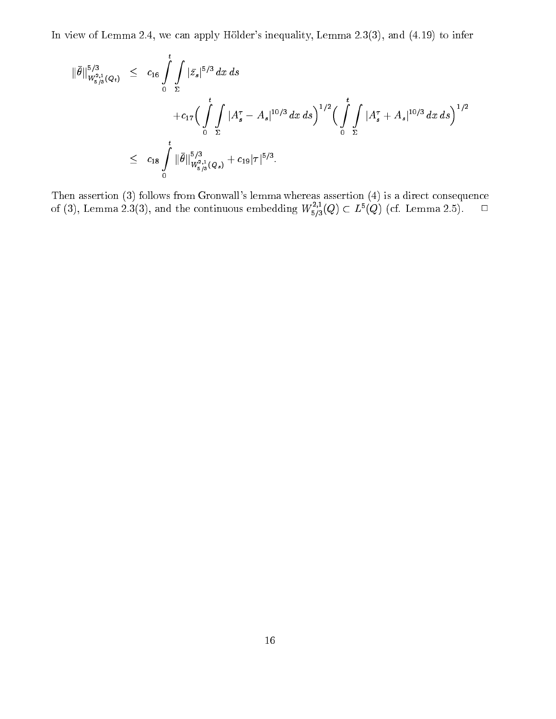In view of Lemma 2.4, we can apply Hölder's inequality, Lemma 2.3(3), and (4.19) to infer

$$
\|\bar{\theta}\|_{W_{5/3}^{2,1}(Q_t)}^{5/3} \leq c_{16} \int_{0}^{t} \int_{\Sigma} |\bar{z_s}|^{5/3} dx ds
$$
  
+  $c_{17} \Big( \int_{0}^{t} \int_{\Sigma} |A_s^{\tau} - A_s|^{10/3} dx ds \Big)^{1/2} \Big( \int_{0}^{t} \int_{\Sigma} |A_s^{\tau} + A_s|^{10/3} dx ds \Big)^{1/2}$   

$$
\leq c_{18} \int_{0}^{t} \|\bar{\theta}\|_{W_{5/3}^{2,1}(Q_s)}^{5/3} + c_{19} |\tau|^{5/3}.
$$

Then assertion (3) follows from Gronwall's lemma whereas assertion (4) is a direct consequence of (3), Lemma 2.3(3), and the continuous embedding  $W_{5/3}^{-1}(Q) \subset L^{\circ}(Q)$  (cf. Lemma 2.5).  $\Box$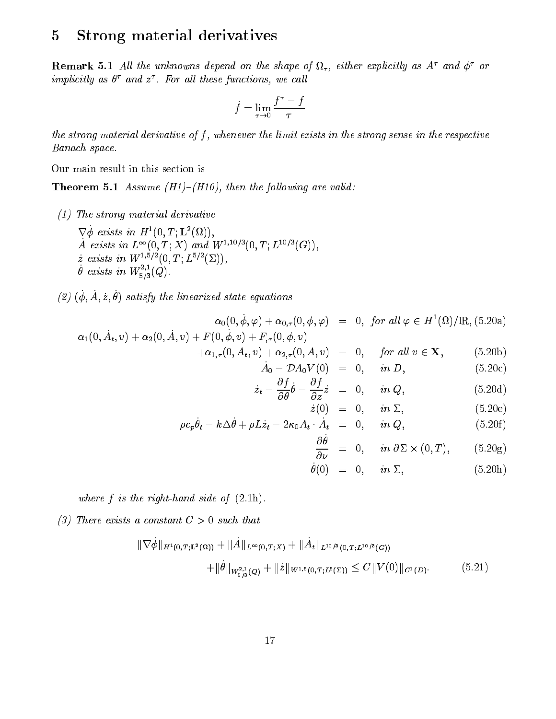#### 5Strong material derivatives

**Remark 5.1** All the unknowns aepend on the shape of  $\iota_{\tau}$ , either explicitly as A and  $\varphi$  or  $\it impuctury$  as  $\it v$  and  $\it z$  . For all these functions, we call

$$
\dot{f} = \lim_{\tau \to 0} \frac{f^\tau - f}{\tau}
$$

the strong material derivative of  $f$ , whenever the limit exists in the strong sense in the respective Banach space.

Our main result in this section is

**Theorem 5.1** Assume (H1)–(H10), then the following are valid:

- (1) The strong material derivative
	- $\vee \varphi$  exists in  $\Pi$  (0, 1; L (M), A exists in  $L^{-1}(0, 1; \Lambda)$  and W<sup>-1-3</sup>  $(0, 1; L^{-3/2}(G)),$  $\dot{z}$  exists in  $W^{1,5/2}(0,T; L^{5/2}(\Sigma)),$  $\theta$  exists in  $W_{5/3}^{\bullet}(Q)$ .
- $\mathcal{L}(\mathcal{L})$  ( $\varphi, A, \mathcal{L}, \sigma$ ) satisfy the linearized state equations

$$
\alpha_0(0, \dot{\phi}, \varphi) + \alpha_{0,\tau}(0, \phi, \varphi) = 0, \text{ for all } \varphi \in H^1(\Omega)/\mathbb{R}, (5.20a)
$$
  

$$
\alpha_1(0, \dot{A}_t, v) + \alpha_2(0, \dot{A}, v) + F(0, \dot{\phi}, v) + F_{,\tau}(0, \phi, v)
$$

$$
+\alpha_{1,\tau}(0, A_t, v) + \alpha_{2,\tau}(0, A, v) = 0, \quad \text{for all } v \in \mathbf{X}, \tag{5.20b}
$$

$$
A_0 - \nu A_0 V(0) = 0, \t in D, \t (3.20c)
$$
  

$$
\partial f_{\dot{a}} \partial f_{\dot{c}} \qquad 0 \t in Q \t (5.20d)
$$

$$
\dot{z}_t - \frac{\partial f}{\partial \theta} \theta - \frac{\partial f}{\partial z} \dot{z} = 0, \quad in \ Q, \tag{5.20d}
$$
\n
$$
\dot{z}(0) = 0, \quad in \ \Sigma, \tag{5.20e}
$$

$$
\rho c_p \dot{\theta}_t - k \Delta \dot{\theta} + \rho L \dot{z}_t - 2 \kappa_0 A_t \cdot \dot{A}_t = 0, \quad in \ Q, \tag{5.20f}
$$

$$
\frac{\partial \theta}{\partial \nu} = 0, \quad in \ \partial \Sigma \times (0, T), \tag{5.20g}
$$

$$
\dot{\theta}(0) = 0, \quad in \ \Sigma, \tag{5.20h}
$$

where  $f$  is the right-hand side of  $(2.1h)$ .

(3) There exists a constant  $C > 0$  such that

$$
\|\nabla \dot{\phi}\|_{H^1(0,T;L^2(\Omega))} + \|\dot{A}\|_{L^{\infty}(0,T;X)} + \|\dot{A}_t\|_{L^{10/3}(0,T;L^{10/3}(G))}
$$
  
 
$$
+ \|\dot{\theta}\|_{W^{2,1}_{\delta/3}(Q)} + \|\dot{z}\|_{W^{1,5}(0,T;L^5(\Sigma))} \leq C \|V(0)\|_{C^1(D)}.
$$
 (5.21)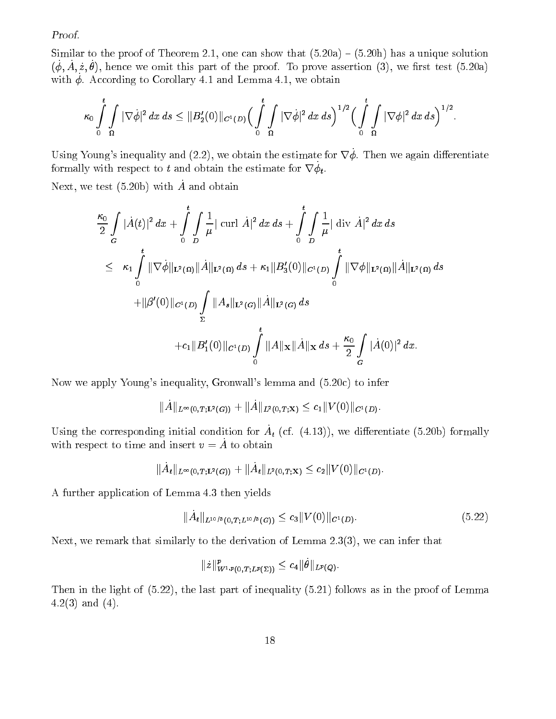Proof.

Similar to the proof of Theorem 2.1, one can show that  $(5.20a) - (5.20h)$  has a unique solution  $(\varphi, A, z, \nu)$ , hence we omit this part of the proof. To prove assertion (3), we hist test (5.20a) with  $\psi$ . According to Corollary 4.1 and Lemma 4.1, we obtain

$$
\kappa_0\int\limits_0^t\int\limits_\Omega|\nabla\dot\phi|^2\,dx\,ds\leq\|B_2'(0)\|_{C^1(D)}\Big(\int\limits_0^t\int\limits_\Omega|\nabla\dot\phi|^2\,dx\,ds\Big)^{1/2}\Big(\int\limits_0^t\int\limits_\Omega|\nabla\phi|^2\,dx\,ds\Big)^{1/2}.
$$

Using Young's inequality and  $(2.2)$ , we obtain the estimate for  $\nabla \phi$ . Then we again differentiate formally with respect to t and obtain the estimate for  $v \varphi_t$ .

Next, we test  $(5.20b)$  with  $\dot{A}$  and obtain

$$
\frac{\kappa_0}{2} \int\limits_G |\dot{A}(t)|^2 dx + \int\limits_0^t \int\limits_D \frac{1}{\mu} |\operatorname{curl} \dot{A}|^2 dx ds + \int\limits_0^t \int\limits_D \frac{1}{\mu} |\operatorname{div} \dot{A}|^2 dx ds
$$
\n
$$
\leq \kappa_1 \int\limits_0^t \|\nabla \dot{\phi}\|_{\mathbf{L}^2(\Omega)} \|\dot{A}\|_{\mathbf{L}^2(\Omega)} ds + \kappa_1 \|B'_3(0)\|_{C^1(D)} \int\limits_0^t \|\nabla \phi\|_{\mathbf{L}^2(\Omega)} \|\dot{A}\|_{\mathbf{L}^2(\Omega)} ds
$$
\n
$$
+ \|\beta'(0)\|_{C^1(D)} \int\limits_{\Sigma} \|A_s\|_{\mathbf{L}^2(G)} \|\dot{A}\|_{\mathbf{L}^2(G)} ds
$$
\n
$$
+ c_1 \|B'_1(0)\|_{C^1(D)} \int\limits_0^t \|A\|_{\mathbf{X}} \|\dot{A}\|_{\mathbf{X}} ds + \frac{\kappa_0}{2} \int\limits_G |\dot{A}(0)|^2 dx.
$$

Now we apply Young's inequality, Gronwall's lemma and (5.20c) to infer

$$
\|\dot{A}\|_{L^{\infty}(0,T;{\bf L}^2(G))}+\|\dot{A}\|_{L^2(0,T;{\bf X})}\leq c_1\|V(0)\|_{C^1(D)}.
$$

Using the corresponding initial condition for  $A_t$  (cf. (4.13)), we differentiate (5.20b) formally with respect to time and insert  $v = \dot{A}$  to obtain

$$
\|\dot{A}_t\|_{L^\infty(0,T;{\bf L}^2(G))}+\|\dot{A}_t\|_{L^2(0,T;{\bf X})}\leq c_2\|V(0)\|_{C^1(D)}.
$$

A further application of Lemma 4.3 then yields

$$
\|\dot{A}_t\|_{L^{10/3}(0,T;L^{10/3}(G))} \le c_3 \|V(0)\|_{C^1(D)}.\tag{5.22}
$$

Next, we remark that similarly to the derivation of Lemma 2.3(3), we can infer that

$$
\| \dot{z} \|_{W^{1,p}(0,T;L^p(\Sigma))}^p \leq c_4 \| \theta \|_{L^p(Q)}.
$$

Then in the light of (5.22), the last part of inequality (5.21) follows as in the proof of Lemma  $4.2(3)$  and  $(4)$ .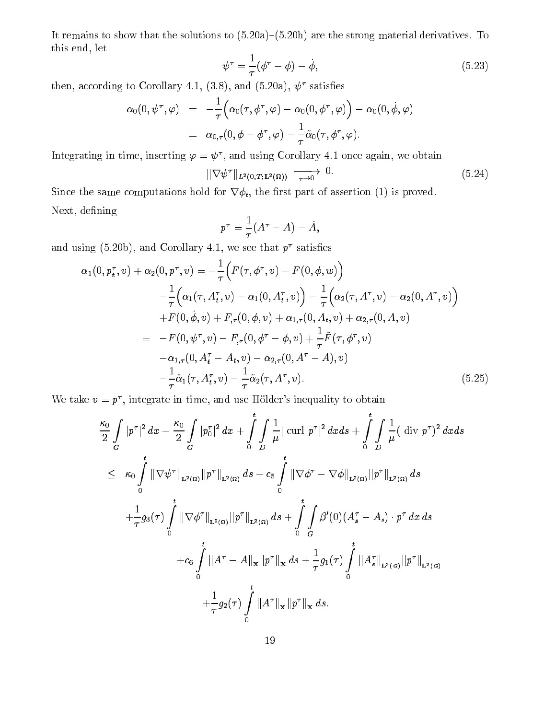It remains to show that the solutions to  $(5.20a)-(5.20h)$  are the strong material derivatives. To this end, let

$$
\psi^{\tau} = \frac{1}{\tau} (\phi^{\tau} - \phi) - \dot{\phi}, \qquad (5.23)
$$

then, according to Corollary 4.1, (3.8), and (5.20a),  $\psi^{\tau}$  satisfies

$$
\begin{array}{lcl} \alpha_0(0,\psi^\tau,\varphi) & = & -\frac{1}{\tau}\Big(\alpha_0(\tau,\phi^\tau,\varphi)-\alpha_0(0,\phi^\tau,\varphi)\Big)-\alpha_0(0,\dot{\phi},\varphi) \\ \\ & = & \alpha_{0,\tau}(0,\phi-\phi^\tau,\varphi)-\frac{1}{\tau}\tilde{\alpha}_0(\tau,\phi^\tau,\varphi). \end{array}
$$

Integrating in time, inserting  $\varphi = \psi'$  , and using Corollary 4.1 once again, we obtain

$$
\|\nabla \psi^{\tau}\|_{L^{2}(0,T;L^{2}(\Omega))} \xrightarrow[\tau \to 0]{} 0.
$$
\n(5.24)

Since the same computations hold for  $\nabla \phi_t$ , the first part of assertion (1) is proved. Next, defining

$$
p^\tau = \frac{1}{\tau}(A^\tau - A) - \dot{A},
$$

and using (5.20b), and Corollary 4.1, we see that  $p^{\tau}$  satisfies

$$
\alpha_{1}(0, p_{t}^{\tau}, v) + \alpha_{2}(0, p^{\tau}, v) = -\frac{1}{\tau} \Big( F(\tau, \phi^{\tau}, v) - F(0, \phi, w) \Big) \n- \frac{1}{\tau} \Big( \alpha_{1}(\tau, A_{t}^{\tau}, v) - \alpha_{1}(0, A_{t}^{\tau}, v) \Big) - \frac{1}{\tau} \Big( \alpha_{2}(\tau, A^{\tau}, v) - \alpha_{2}(0, A^{\tau}, v) \Big) \n+ F(0, \dot{\phi}, v) + F_{,\tau}(0, \phi, v) + \alpha_{1,\tau}(0, A_{t}, v) + \alpha_{2,\tau}(0, A, v) \n= -F(0, \psi^{\tau}, v) - F_{,\tau}(0, \phi^{\tau} - \phi, v) + \frac{1}{\tau} \tilde{F}(\tau, \phi^{\tau}, v) \n- \alpha_{1,\tau}(0, A_{t}^{\tau} - A_{t}, v) - \alpha_{2,\tau}(0, A^{\tau} - A), v) \n- \frac{1}{\tau} \tilde{\alpha}_{1}(\tau, A_{t}^{\tau}, v) - \frac{1}{\tau} \tilde{\alpha}_{2}(\tau, A^{\tau}, v).
$$
\n(5.25)

We take  $v = p^{\tau}$ , integrate in time, and use Hölder's inequality to obtain

$$
\frac{\kappa_0}{2} \int\limits_G |p^{\tau}|^2 dx - \frac{\kappa_0}{2} \int\limits_G |p_0^{\tau}|^2 dx + \int\limits_0^t \int\limits_D \frac{1}{\mu} |\operatorname{curl} p^{\tau}|^2 dx ds + \int\limits_0^t \int\limits_D \frac{1}{\mu} (\operatorname{div} p^{\tau})^2 dx ds \n\leq \kappa_0 \int\limits_0^t \|\nabla \psi^{\tau}\|_{\mathbf{L}^2(\Omega)} \|p^{\tau}\|_{\mathbf{L}^2(\Omega)} ds + c_5 \int\limits_0^t \|\nabla \phi^{\tau} - \nabla \phi\|_{\mathbf{L}^2(\Omega)} \|p^{\tau}\|_{\mathbf{L}^2(\Omega)} ds \n+ \frac{1}{\tau} g_3(\tau) \int\limits_0^t \|\nabla \phi^{\tau}\|_{\mathbf{L}^2(\Omega)} \|p^{\tau}\|_{\mathbf{L}^2(\Omega)} ds + \int\limits_0^t \int\limits_G \beta'(0) (A_s^{\tau} - A_s) \cdot p^{\tau} dx ds \n+ c_6 \int\limits_0^t \|A^{\tau} - A\|_{\mathbf{x}} \|p^{\tau}\|_{\mathbf{x}} ds + \frac{1}{\tau} g_1(\tau) \int\limits_0^t \|A_s^{\tau}\|_{\mathbf{L}^2(\mathcal{G})} \|p^{\tau}\|_{\mathbf{L}^2(\mathcal{G})} \n+ \frac{1}{\tau} g_2(\tau) \int\limits_0^t \|A^{\tau}\|_{\mathbf{x}} \|p^{\tau}\|_{\mathbf{x}} ds.
$$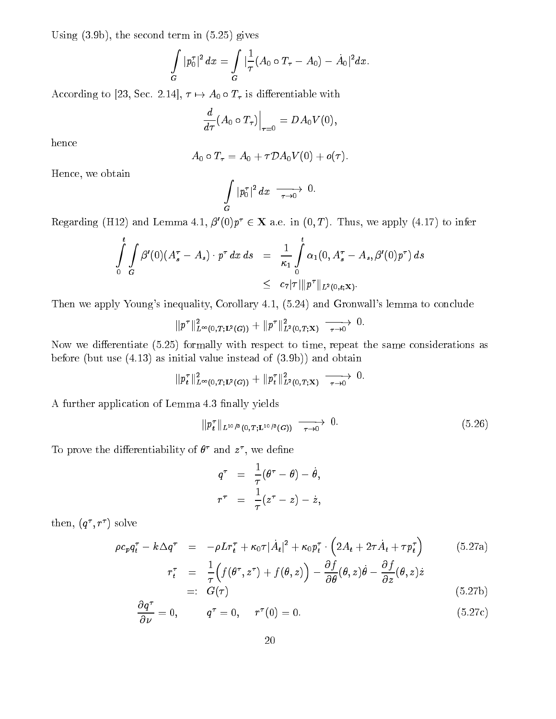Using (3.9b), the second term in (5.25) gives

$$
\int\limits_G |p_0^\tau|^2 \, dx = \int\limits_G |\frac{1}{\tau} (A_0 \circ T_\tau - A_0) - \dot{A_0}|^2 dx.
$$

According to [23, Sec. 2.14],  $\tau \mapsto A_0 \circ T_{\tau}$  is differentiable with

$$
\left. \frac{d}{d\tau}(A_0 \circ T_\tau)\right|_{\tau=0} = DA_0 V(0),
$$

hence

$$
A_0\circ T_\tau=A_0+\tau\mathcal{D}A_0V(0)+o(\tau).
$$

Hence, we obtain

$$
\int\limits_G |p_0^\tau|^2\,dx \;\xrightarrow[\tau\to 0]{} \;0.
$$

Regarding (H12) and Lemma 4.1,  $\beta'(0)p^{\tau} \in \mathbf{X}$  a.e. in  $(0, T)$ . Thus, we apply (4.17) to infer

$$
\int_{0}^{t} \int_{G} \beta'(0) (A_s^{\tau} - A_s) \cdot p^{\tau} dx ds = \frac{1}{\kappa_1} \int_{0}^{t} \alpha_1(0, A_s^{\tau} - A_s, \beta'(0) p^{\tau}) ds
$$
  

$$
\leq c_7 |\tau| \| p^{\tau} \|_{L^2(0,t; \mathbf{X})}.
$$

Then we apply Young's inequality, Corollary 4.1, (5.24) and Gronwall's lemma to conclude

$$
\|p^\tau\|^2_{L^\infty(0,T;{\bf L}^2(G))}+\|p^\tau\|^2_{{\bf L}^2(0,T;{\bf X})}\;\xrightarrow[\tau\to 0]{}0.
$$

Now we differentiate  $(5.25)$  formally with respect to time, repeat the same considerations as before (but use (4.13) as initial value instead of (3.9b)) and obtain

$$
\|p^\tau_t\|^2_{L^\infty(0,T;{\bf L}^2(G))}+\|p^\tau_t\|^2_{L^2(0,T;{\bf X})}\;\xrightarrow[\tau\to 0]{}0.
$$

A further application of Lemma 4.3 finally yields

$$
\|p_t^{\tau}\|_{L^{10/3}(0,T;L^{10/3}(G))} \xrightarrow[\tau \to 0]{} 0.
$$
 (5.26)

To prove the differentiability of  $\sigma$  and  $z$ , we define

$$
\begin{array}{rcl}q^{\tau}&=&\displaystyle\frac{1}{\tau}(\theta^{\tau}-\theta)-\dot{\theta},\\r^{\tau}&=&\displaystyle\frac{1}{\tau}(z^{\tau}-z)-\dot{z},\end{array}
$$

 $\text{tnen}, \{q, r\}$  solve

$$
\rho c_p q_t^\tau - k \Delta q^\tau = -\rho L r_t^\tau + \kappa_0 \tau |\dot{A}_t|^2 + \kappa_0 p_t^\tau \cdot \left(2A_t + 2\tau \dot{A}_t + \tau p_t^\tau\right) \tag{5.27a}
$$

$$
r_t^{\tau} = \frac{1}{\tau} \Big( f(\theta^{\tau}, z^{\tau}) + f(\theta, z) \Big) - \frac{\partial f}{\partial \theta}(\theta, z) \dot{\theta} - \frac{\partial f}{\partial z}(\theta, z) \dot{z}
$$
  
=:  $G(\tau)$  (5.27b)

$$
\frac{\partial q^{\tau}}{\partial \nu} = 0, \qquad q^{\tau} = 0, \qquad r^{\tau}(0) = 0. \tag{5.27c}
$$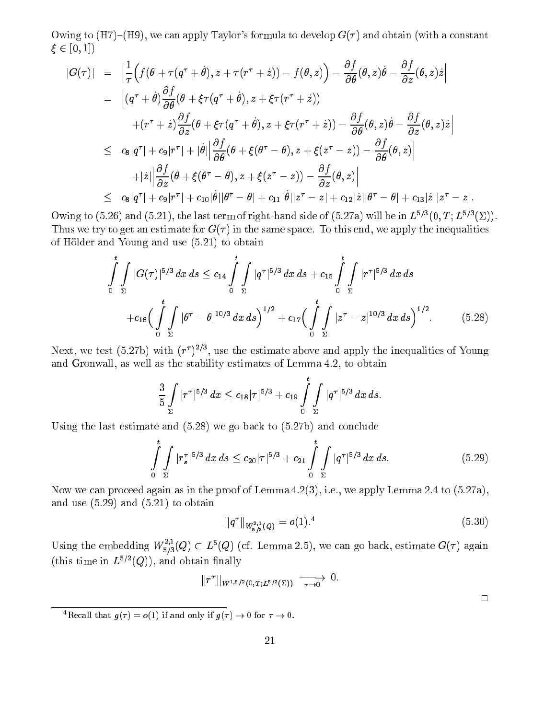Owing to  $(H7)-(H9)$ , we can apply Taylor's formula to develop  $G(\tau)$  and obtain (with a constant 2 [0; 1])

$$
|G(\tau)| = \left| \frac{1}{\tau} \Big( f(\theta + \tau(q^{\tau} + \dot{\theta}), z + \tau(r^{\tau} + \dot{z})) - f(\theta, z) \Big) - \frac{\partial f}{\partial \theta} (\theta, z) \dot{\theta} - \frac{\partial f}{\partial z} (\theta, z) \dot{z} \right|
$$
  
\n
$$
= \left| (q^{\tau} + \dot{\theta}) \frac{\partial f}{\partial \theta} (\theta + \xi \tau (q^{\tau} + \dot{\theta}), z + \xi \tau (r^{\tau} + \dot{z})) \right|
$$
  
\n
$$
+ (r^{\tau} + \dot{z}) \frac{\partial f}{\partial z} (\theta + \xi \tau (q^{\tau} + \dot{\theta}), z + \xi \tau (r^{\tau} + \dot{z})) - \frac{\partial f}{\partial \theta} (\theta, z) \dot{\theta} - \frac{\partial f}{\partial z} (\theta, z) \dot{z} \right|
$$
  
\n
$$
\leq c_8 |q^{\tau}| + c_9 |r^{\tau}| + |\dot{\theta}| \left| \frac{\partial f}{\partial \theta} (\theta + \xi (\theta^{\tau} - \theta), z + \xi (z^{\tau} - z)) - \frac{\partial f}{\partial \theta} (\theta, z) \right|
$$
  
\n
$$
+ |\dot{z}| \left| \frac{\partial f}{\partial z} (\theta + \xi (\theta^{\tau} - \theta), z + \xi (z^{\tau} - z)) - \frac{\partial f}{\partial z} (\theta, z) \right|
$$
  
\n
$$
\leq c_8 |q^{\tau}| + c_9 |r^{\tau}| + c_{10} |\dot{\theta}| |\theta^{\tau} - \theta| + c_{11} |\dot{\theta}| |z^{\tau} - z| + c_{12} |\dot{z}| |\theta^{\tau} - \theta| + c_{13} |\dot{z}| |z^{\tau} - z|.
$$

Owing to (5.26) and (5.21), the last term of right-hand side of (5.27a) will be in  $L^{5/3}(0,T; L^{5/3}(\Sigma))$ . Thus we try to get an estimate for  $G(\tau)$  in the same space. To this end, we apply the inequalities of Hölder and Young and use (5.21) to obtain

$$
\int_{0}^{t} \int_{\Sigma} |G(\tau)|^{5/3} dx ds \leq c_{14} \int_{0}^{t} \int_{\Sigma} |q^{\tau}|^{5/3} dx ds + c_{15} \int_{0}^{t} \int_{\Sigma} |r^{\tau}|^{5/3} dx ds \n+ c_{16} \Big( \int_{0}^{t} \int_{\Sigma} |\theta^{\tau} - \theta|^{10/3} dx ds \Big)^{1/2} + c_{17} \Big( \int_{0}^{t} \int_{\Sigma} |z^{\tau} - z|^{10/3} dx ds \Big)^{1/2}.
$$
\n(5.28)

Next, we test (5.27b) with  $(r_{\perp})^{-1}$ , use the estimate above and apply the inequalities of Young and Gronwall, as well as the stability estimates of Lemma 4.2, to obtain

$$
\frac{3}{5}\int\limits_{\Sigma}|r^{\tau}|^{5/3}\,dx\leq c_{18}|\tau|^{5/3}+c_{19}\int\limits_{0}^{t}\int\limits_{\Sigma}|q^{\tau}|^{5/3}\,dx\,ds.
$$

Using the last estimate and (5.28) we go back to (5.27b) and conclude

$$
\int_{0}^{t} \int_{\Sigma} |r_{s}^{\tau}|^{5/3} dx ds \leq c_{20} |\tau|^{5/3} + c_{21} \int_{0}^{t} \int_{\Sigma} |q^{\tau}|^{5/3} dx ds.
$$
 (5.29)

Now we can proceed again as in the proof of Lemma 4.2(3), i.e., we apply Lemma 2.4 to (5.27a), and use (5.29) and (5.21) to obtain

$$
||q^{\tau}||_{W^{2,1}_{5/3}(Q)} = o(1).^{4}
$$
\n(5.30)

Using the embedding  $W_{5/3}^*(Q) \subset L^{\circ}(Q)$  (cf. Lemma 2.5), we can go back, estimate  $G(\tau)$  again (this time in  $L^{5/2}(Q)$ ), and obtain finally

$$
\|r^\tau\|_{W^{1,5/2}(0,T;L^{5/2}(\Sigma))}\ \xrightarrow[\tau\to 0]{} 0.
$$

<sup>4</sup>Recall that  $g(\tau) = o(1)$  if and only if  $g(\tau) \to 0$  for  $\tau \to 0$ .

 $\Box$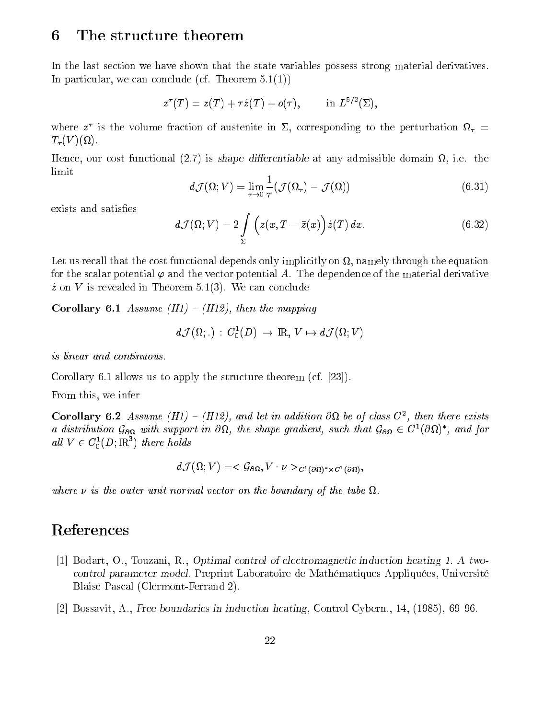### 6The structure theorem

In the last section we have shown that the state variables possess strong material derivatives. In particular, we can conclude (cf. Theorem 5.1(1))

$$
z^\tau(T)=z(T)+\tau\dot{z}(T)+o(\tau),\qquad\text{ in }L^{5/2}(\Sigma),
$$

where z is the volume fraction of austentie in  $\Sigma$ , corresponding to the perturbation  $\Omega_T =$  $-1$ 

Hence, our cost functional (2.7) is shape dierentiable at any admissible domain , i.e. the limit

$$
d\mathcal{J}(\Omega;V) = \lim_{\tau \to 0} \frac{1}{\tau} (\mathcal{J}(\Omega_{\tau}) - \mathcal{J}(\Omega))
$$
\n(6.31)

exists and satisfies

$$
d\mathcal{J}(\Omega;V) = 2\int\limits_{\Sigma}\Big(z(x,T-\bar{z}(x)\Big)\dot{z}(T)\,dx.\tag{6.32}
$$

, namely that the cost functional depends on  $\mathcal{A}$  and  $\mathcal{A}$  and equational depends on  $\mathcal{A}$ for the scalar potential  $\varphi$  and the vector potential A. The dependence of the material derivative  $\dot{z}$  on V is revealed in Theorem 5.1(3). We can conclude

Corollary 6.1 Assume  $(H1) - (H12)$ , then the mapping

$$
d\mathcal{J}(\Omega;\,.\,): \,C_0^1(D)\,\to\,\mathrm{I\!R},\,V\mapsto d\mathcal{J}(\Omega;V)
$$

is linear and continuous.

Corollary 6.1 allows us to apply the structure theorem (cf. [23]).

From this, we infer

Corollary 6.2 Assume  $(H1) = (H1z)$ , and let in addition OM be of class  $C^{\dagger}$ , then there exists a assiribution  $\mathcal{G}_{\partial\Omega}$  with support in Ost, the shape gradient, such that  $\mathcal{G}_{\partial\Omega}\in C^{\infty}(O$ st), and for all  $V \in C_0^1(D; \mathbb{R}^n)$  there holds

$$
d\mathcal{J}(\Omega;V)=<\mathcal{G}_{\partial\Omega},V\cdot\nu>_{C^1(\partial\Omega)^*\times C^1(\partial\Omega)},
$$

where is the distribution which is the boundary of the boundary  $\beta$  is the tube of the tube of the tube of the tube of tube  $\alpha$ 

# References

- [1] Bodart, O., Touzani, R., Optimal control of electromagnetic induction heating 1. A twocontrol parameter model. Preprint Laboratoire de Mathématiques Appliquées, Université Blaise Pascal (Clermont-Ferrand 2).
- [2] Bossavit, A., Free boundaries in induction heating, Control Cybern., 14,  $(1985)$ , 69–96.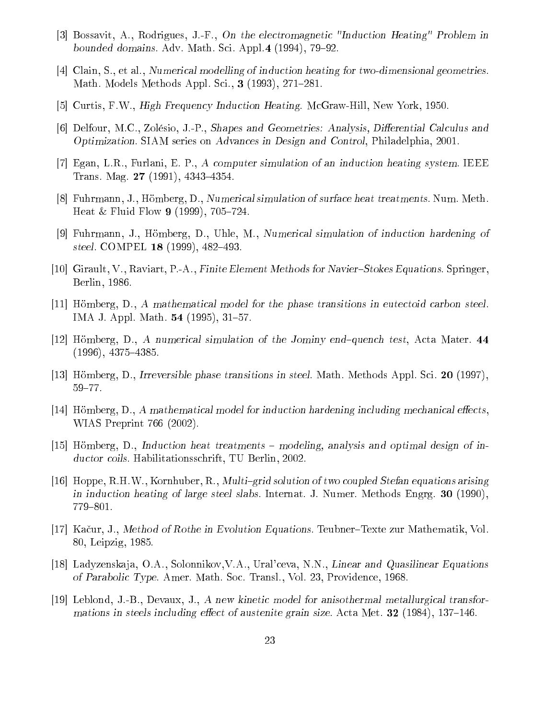- [3] Bossavit, A., Rodrigues, J.-F., On the electromagnetic "Induction Heating" Problem in bounded domains. Adv. Math. Sci. Appl.4  $(1994)$ , 79–92.
- [4] Clain, S., et al., Numerical modelling of induction heating for two-dimensional geometries. Math. Models Methods Appl. Sci., **3** (1993), 271–281.
- [5] Curtis, F.W., High Frequency Induction Heating. McGraw-Hill, New York, 1950.
- [6] Delfour, M.C., Zolésio, J.-P., Shapes and Geometries: Analysis, Differential Calculus and Optimization. SIAM series on Advances in Design and Control, Philadelphia, 2001.
- [7] Egan, L.R., Furlani, E. P., A computer simulation of an induction heating system. IEEE Trans. Mag. **27** (1991), 4343–4354.
- [8] Fuhrmann, J., Hömberg, D., Numerical simulation of surface heat treatments. Num. Meth. Heat & Fluid Flow 9 (1999),  $705-724$ .
- [9] Fuhrmann, J., Hömberg, D., Uhle, M., Numerical simulation of induction hardening of steel. COMPEL  $18$  (1999), 482–493.
- [10] Girault, V., Raviart, P.-A., Finite Element Methods for Navier-Stokes Equations. Springer, Berlin, 1986.
- [11] Hömberg, D., A mathematical model for the phase transitions in eutectoid carbon steel. IMA J. Appl. Math. **54** (1995), 31–57.
- [12] Hömberg, D., A numerical simulation of the Jominy end-quench test, Acta Mater.  $44$  $(1996), 4375 - 4385.$
- [13] Hömberg, D., Irreversible phase transitions in steel. Math. Methods Appl. Sci. <sup>20</sup> (1997),  $59 - 77.$
- $[14]$  Hömberg, D., A mathematical model for induction hardening including mechanical effects, WIAS Preprint 766 (2002).
- [15] Hömberg, D., Induction heat treatments  $-$  modeling, analysis and optimal design of inductor coils. Habilitationsschrift, TU Berlin, 2002.
- [16] Hoppe, R.H.W., Kornhuber, R., *Multi-grid solution of two coupled Stefan equations arising* in induction heating of large steel slabs. Internat. J. Numer. Methods Engrg. <sup>30</sup> (1990), 779–801.
- [17] Kačur, J., Method of Rothe in Evolution Equations. Teubner–Texte zur Mathematik, Vol. 80, Leipzig, 1985.
- [18] Ladyzenskaja, O.A., Solonnikov, V.A., Ural'ceva, N.N., Linear and Quasilinear Equations of Parabolic Type. Amer. Math. Soc. Transl., Vol. 23, Providence, 1968.
- [19] Leblond, J.-B., Devaux, J., A new kinetic model for anisothermal metallurgical transformations in steels including effect of austenite grain size. Acta Met.  $32$  (1984), 137–146.